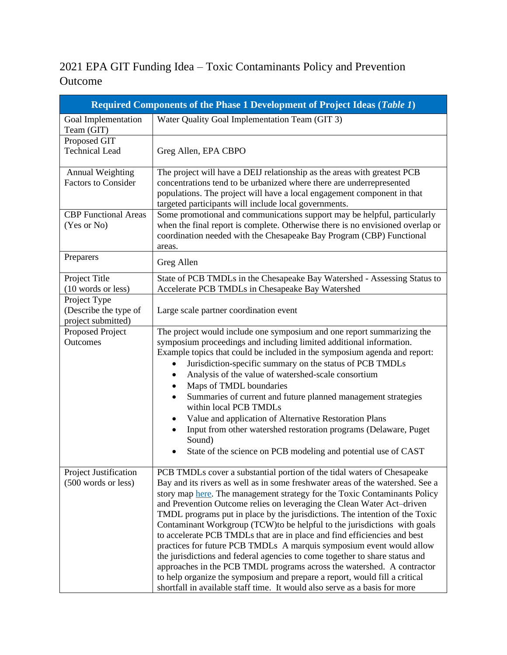## 2021 EPA GIT Funding Idea – Toxic Contaminants Policy and Prevention Outcome

| Required Components of the Phase 1 Development of Project Ideas (Table 1) |                                                                                                                                                                                                                                                                                                                                                                                                                                                                                                                                                                                                                                                                                                                                                                                                                                                                                                                                                       |  |
|---------------------------------------------------------------------------|-------------------------------------------------------------------------------------------------------------------------------------------------------------------------------------------------------------------------------------------------------------------------------------------------------------------------------------------------------------------------------------------------------------------------------------------------------------------------------------------------------------------------------------------------------------------------------------------------------------------------------------------------------------------------------------------------------------------------------------------------------------------------------------------------------------------------------------------------------------------------------------------------------------------------------------------------------|--|
| Goal Implementation<br>Team (GIT)                                         | Water Quality Goal Implementation Team (GIT 3)                                                                                                                                                                                                                                                                                                                                                                                                                                                                                                                                                                                                                                                                                                                                                                                                                                                                                                        |  |
| Proposed GIT<br><b>Technical Lead</b>                                     | Greg Allen, EPA CBPO                                                                                                                                                                                                                                                                                                                                                                                                                                                                                                                                                                                                                                                                                                                                                                                                                                                                                                                                  |  |
| <b>Annual Weighting</b><br><b>Factors to Consider</b>                     | The project will have a DEIJ relationship as the areas with greatest PCB<br>concentrations tend to be urbanized where there are underrepresented<br>populations. The project will have a local engagement component in that<br>targeted participants will include local governments.                                                                                                                                                                                                                                                                                                                                                                                                                                                                                                                                                                                                                                                                  |  |
| <b>CBP</b> Functional Areas<br>(Yes or No)                                | Some promotional and communications support may be helpful, particularly<br>when the final report is complete. Otherwise there is no envisioned overlap or<br>coordination needed with the Chesapeake Bay Program (CBP) Functional<br>areas.                                                                                                                                                                                                                                                                                                                                                                                                                                                                                                                                                                                                                                                                                                          |  |
| Preparers                                                                 | Greg Allen                                                                                                                                                                                                                                                                                                                                                                                                                                                                                                                                                                                                                                                                                                                                                                                                                                                                                                                                            |  |
| Project Title<br>(10 words or less)                                       | State of PCB TMDLs in the Chesapeake Bay Watershed - Assessing Status to<br>Accelerate PCB TMDLs in Chesapeake Bay Watershed                                                                                                                                                                                                                                                                                                                                                                                                                                                                                                                                                                                                                                                                                                                                                                                                                          |  |
| Project Type<br>(Describe the type of<br>project submitted)               | Large scale partner coordination event                                                                                                                                                                                                                                                                                                                                                                                                                                                                                                                                                                                                                                                                                                                                                                                                                                                                                                                |  |
| Proposed Project<br>Outcomes                                              | The project would include one symposium and one report summarizing the<br>symposium proceedings and including limited additional information.<br>Example topics that could be included in the symposium agenda and report:<br>Jurisdiction-specific summary on the status of PCB TMDLs<br>$\bullet$<br>Analysis of the value of watershed-scale consortium<br>Maps of TMDL boundaries<br>٠<br>Summaries of current and future planned management strategies<br>$\bullet$<br>within local PCB TMDLs<br>Value and application of Alternative Restoration Plans<br>٠<br>Input from other watershed restoration programs (Delaware, Puget<br>Sound)<br>State of the science on PCB modeling and potential use of CAST                                                                                                                                                                                                                                     |  |
| <b>Project Justification</b><br>(500 words or less)                       | PCB TMDLs cover a substantial portion of the tidal waters of Chesapeake<br>Bay and its rivers as well as in some freshwater areas of the watershed. See a<br>story map here. The management strategy for the Toxic Contaminants Policy<br>and Prevention Outcome relies on leveraging the Clean Water Act-driven<br>TMDL programs put in place by the jurisdictions. The intention of the Toxic<br>Contaminant Workgroup (TCW) to be helpful to the jurisdictions with goals<br>to accelerate PCB TMDLs that are in place and find efficiencies and best<br>practices for future PCB TMDLs A marquis symposium event would allow<br>the jurisdictions and federal agencies to come together to share status and<br>approaches in the PCB TMDL programs across the watershed. A contractor<br>to help organize the symposium and prepare a report, would fill a critical<br>shortfall in available staff time. It would also serve as a basis for more |  |